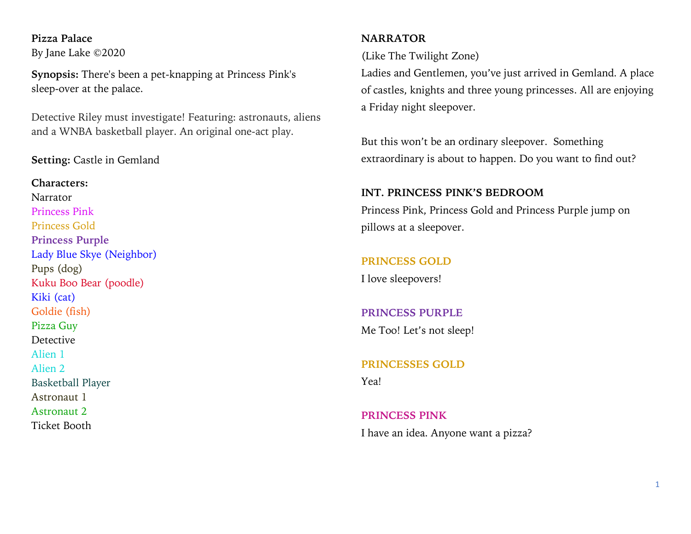**Pizza Palace** By Jane Lake ©2020

**Synopsis:** There's been a pet-knapping at Princess Pink's sleep-over at the palace.

Detective Riley must investigate! Featuring: astronauts, aliens and a WNBA basketball player. An original one-act play.

## **Setting:** Castle in Gemland

**Characters:** Narrator Princess Pink Princess Gold **Princess Purple**  Lady Blue Skye (Neighbor) Pups (dog) Kuku Boo Bear (poodle) Kiki (cat) Goldie (fish) Pizza Guy **Detective** Alien 1 Alien 2 Basketball Player Astronaut 1 Astronaut 2 Ticket Booth

# **NARRATOR**

(Like The Twilight Zone)

Ladies and Gentlemen, you've just arrived in Gemland. A place of castles, knights and three young princesses. All are enjoying a Friday night sleepover.

But this won't be an ordinary sleepover. Something extraordinary is about to happen. Do you want to find out?

## **INT. PRINCESS PINK'S BEDROOM**

Princess Pink, Princess Gold and Princess Purple jump on pillows at a sleepover.

#### **PRINCESS GOLD**

I love sleepovers!

# **PRINCESS PURPLE**

Me Too! Let's not sleep!

**PRINCESSES GOLD** Yea!

**PRINCESS PINK** I have an idea. Anyone want a pizza?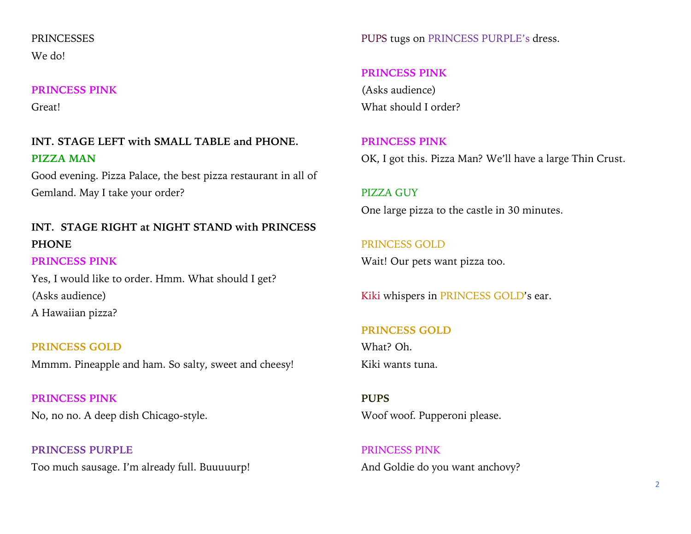# **PRINCESSES** We do!

## **PRINCESS PINK**

Great!

# **INT. STAGE LEFT with SMALL TABLE and PHONE. PIZZA MAN**

Good evening. Pizza Palace, the best pizza restaurant in all of Gemland. May I take your order?

# **INT. STAGE RIGHT at NIGHT STAND with PRINCESS PHONE**

# **PRINCESS PINK**

Yes, I would like to order. Hmm. What should I get? (Asks audience) A Hawaiian pizza?

**PRINCESS GOLD** Mmmm. Pineapple and ham. So salty, sweet and cheesy!

**PRINCESS PINK** No, no no. A deep dish Chicago-style.

**PRINCESS PURPLE** Too much sausage. I'm already full. Buuuuurp! PUPS tugs on PRINCESS PURPLE's dress.

# **PRINCESS PINK**

(Asks audience) What should I order?

**PRINCESS PINK** OK, I got this. Pizza Man? We'll have a large Thin Crust.

PIZZA GUY One large pizza to the castle in 30 minutes.

PRINCESS GOLD Wait! Our pets want pizza too.

Kiki whispers in PRINCESS GOLD's ear.

# **PRINCESS GOLD** What? Oh. Kiki wants tuna.

**PUPS** Woof woof. Pupperoni please.

PRINCESS PINK And Goldie do you want anchovy?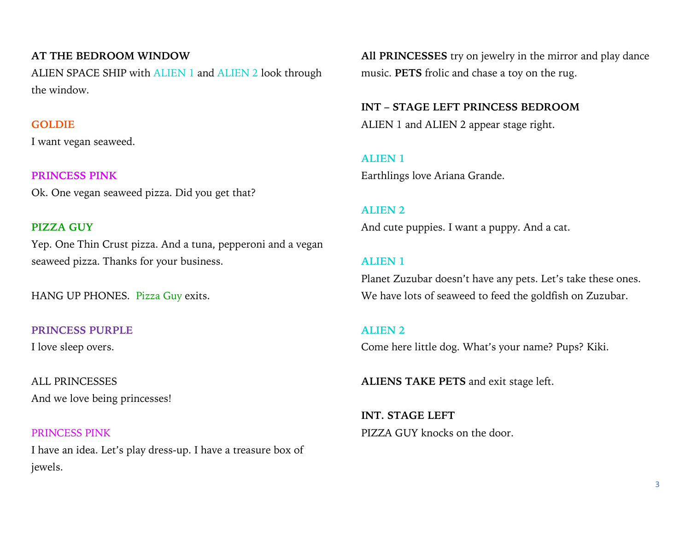# **AT THE BEDROOM WINDOW**

ALIEN SPACE SHIP with ALIEN 1 and ALIEN 2 look through the window.

## **GOLDIE**

I want vegan seaweed.

**PRINCESS PINK** Ok. One vegan seaweed pizza. Did you get that?

## **PIZZA GUY**

Yep. One Thin Crust pizza. And a tuna, pepperoni and a vegan seaweed pizza. Thanks for your business.

HANG UP PHONES. Pizza Guy exits.

**PRINCESS PURPLE** I love sleep overs.

ALL PRINCESSES And we love being princesses!

# PRINCESS PINK I have an idea. Let's play dress-up. I have a treasure box of jewels.

**All PRINCESSES** try on jewelry in the mirror and play dance music. **PETS** frolic and chase a toy on the rug.

**INT – STAGE LEFT PRINCESS BEDROOM** ALIEN 1 and ALIEN 2 appear stage right.

**ALIEN 1** Earthlings love Ariana Grande.

# **ALIEN 2**

And cute puppies. I want a puppy. And a cat.

## **ALIEN 1**

Planet Zuzubar doesn't have any pets. Let's take these ones. We have lots of seaweed to feed the goldfish on Zuzubar.

## **ALIEN 2**

Come here little dog. What's your name? Pups? Kiki.

**ALIENS TAKE PETS** and exit stage left.

**INT. STAGE LEFT**  PIZZA GUY knocks on the door.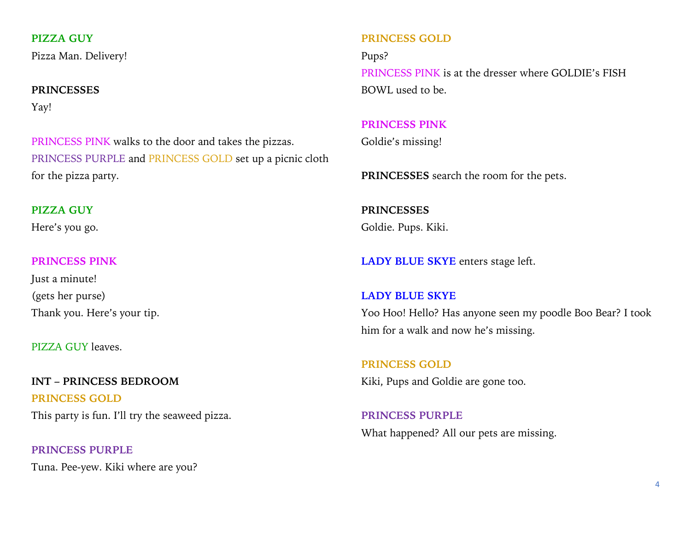**PIZZA GUY**

Pizza Man. Delivery!

# **PRINCESSES**

Yay!

PRINCESS PINK walks to the door and takes the pizzas. PRINCESS PURPLE and PRINCESS GOLD set up a picnic cloth for the pizza party.

### **PIZZA GUY**

Here's you go.

## **PRINCESS PINK**

Just a minute! (gets her purse) Thank you. Here's your tip.

PIZZA GUY leaves.

# **INT – PRINCESS BEDROOM**

**PRINCESS GOLD** This party is fun. I'll try the seaweed pizza.

**PRINCESS PURPLE** Tuna. Pee-yew. Kiki where are you?

## **PRINCESS GOLD**

Pups? PRINCESS PINK is at the dresser where GOLDIE's FISH BOWL used to be.

## **PRINCESS PINK**

Goldie's missing!

**PRINCESSES** search the room for the pets.

**PRINCESSES** Goldie. Pups. Kiki.

**LADY BLUE SKYE** enters stage left.

#### **LADY BLUE SKYE**

Yoo Hoo! Hello? Has anyone seen my poodle Boo Bear? I took him for a walk and now he's missing.

**PRINCESS GOLD** Kiki, Pups and Goldie are gone too.

**PRINCESS PURPLE** What happened? All our pets are missing.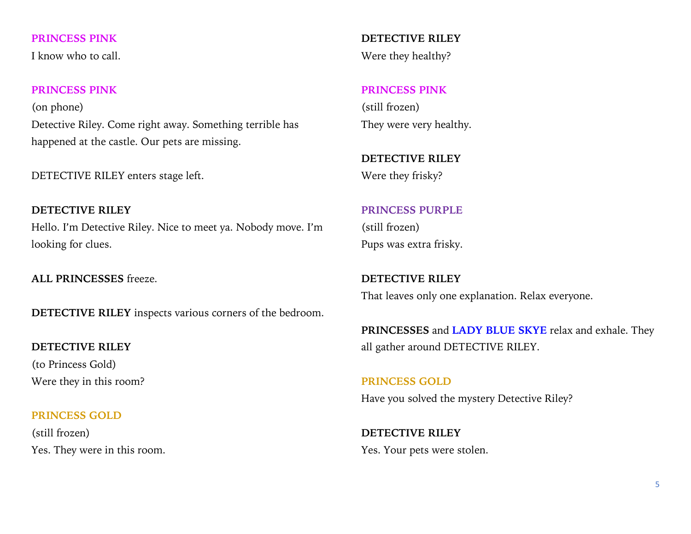**PRINCESS PINK**

I know who to call.

## **PRINCESS PINK**

(on phone) Detective Riley. Come right away. Something terrible has happened at the castle. Our pets are missing.

DETECTIVE RILEY enters stage left.

**DETECTIVE RILEY** Hello. I'm Detective Riley. Nice to meet ya. Nobody move. I'm looking for clues.

**ALL PRINCESSES** freeze.

**DETECTIVE RILEY** inspects various corners of the bedroom.

**DETECTIVE RILEY** (to Princess Gold) Were they in this room?

## **PRINCESS GOLD**

(still frozen) Yes. They were in this room.

**DETECTIVE RILEY** Were they healthy?

## **PRINCESS PINK**

(still frozen) They were very healthy.

**DETECTIVE RILEY** Were they frisky?

# **PRINCESS PURPLE** (still frozen)

Pups was extra frisky.

**DETECTIVE RILEY**  That leaves only one explanation. Relax everyone.

**PRINCESSES** and **LADY BLUE SKYE** relax and exhale. They all gather around DETECTIVE RILEY.

**PRINCESS GOLD** Have you solved the mystery Detective Riley?

**DETECTIVE RILEY**  Yes. Your pets were stolen.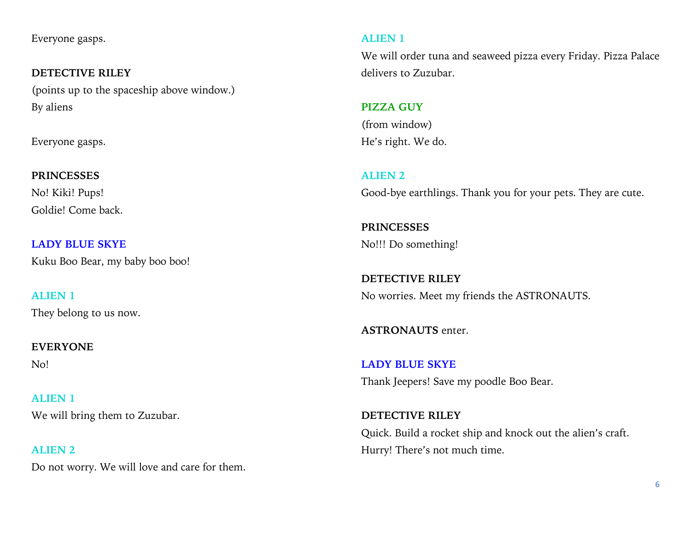Everyone gasps.

**DETECTIVE RILEY**  (points up to the spaceship above window.) By aliens

Everyone gasps.

# **PRINCESSES** No! Kiki! Pups! Goldie! Come back.

**LADY BLUE SKYE** Kuku Boo Bear, my baby boo boo!

**ALIEN 1** They belong to us now.

# **EVERYONE**

No!

**ALIEN 1** We will bring them to Zuzubar.

**ALIEN 2** Do not worry. We will love and care for them.

# **ALIEN 1**

We will order tuna and seaweed pizza every Friday. Pizza Palace delivers to Zuzubar.

# **PIZZA GUY**

(from window) He's right. We do.

**ALIEN 2**

Good-bye earthlings. Thank you for your pets. They are cute.

**PRINCESSES** No!!! Do something!

**DETECTIVE RILEY** No worries. Meet my friends the ASTRONAUTS.

**ASTRONAUTS** enter.

**LADY BLUE SKYE** Thank Jeepers! Save my poodle Boo Bear.

**DETECTIVE RILEY** Quick. Build a rocket ship and knock out the alien's craft. Hurry! There's not much time.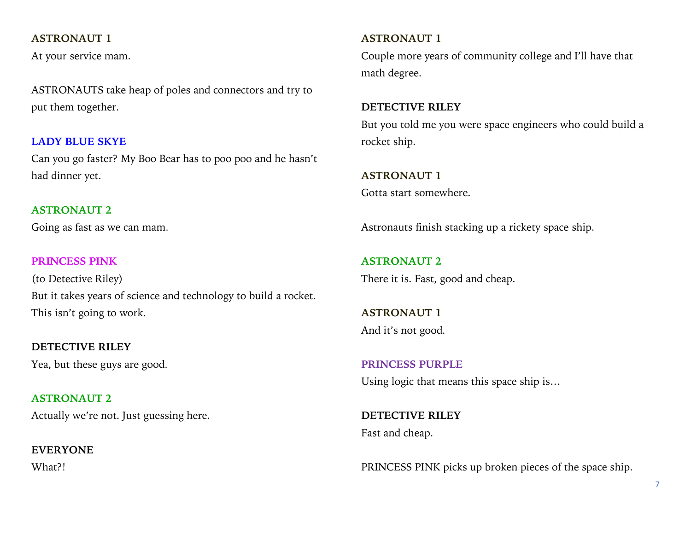## **ASTRONAUT 1**

At your service mam.

ASTRONAUTS take heap of poles and connectors and try to put them together.

## **LADY BLUE SKYE**

Can you go faster? My Boo Bear has to poo poo and he hasn't had dinner yet.

## **ASTRONAUT 2**

Going as fast as we can mam.

## **PRINCESS PINK**

(to Detective Riley) But it takes years of science and technology to build a rocket. This isn't going to work.

**DETECTIVE RILEY** Yea, but these guys are good.

**ASTRONAUT 2** Actually we're not. Just guessing here.

**EVERYONE** What?!

# **ASTRONAUT 1**

Couple more years of community college and I'll have that math degree.

## **DETECTIVE RILEY**

But you told me you were space engineers who could build a rocket ship.

**ASTRONAUT 1** Gotta start somewhere.

Astronauts finish stacking up a rickety space ship.

**ASTRONAUT 2** There it is. Fast, good and cheap.

**ASTRONAUT 1** And it's not good.

**PRINCESS PURPLE** Using logic that means this space ship is…

**DETECTIVE RILEY** Fast and cheap.

PRINCESS PINK picks up broken pieces of the space ship.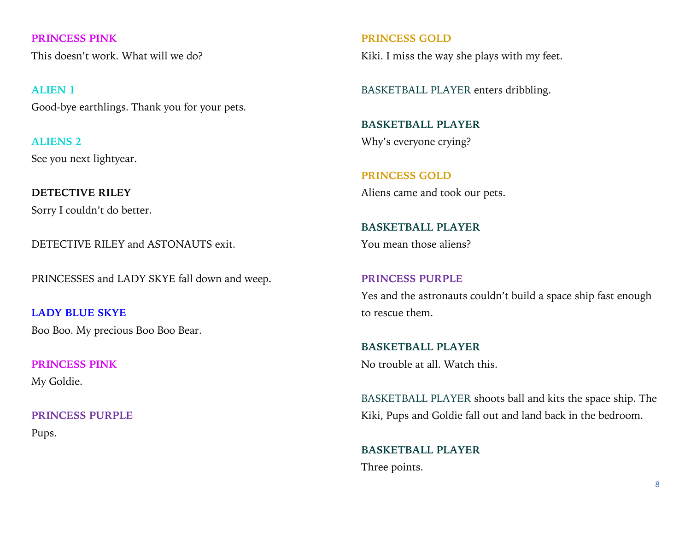**PRINCESS PINK** This doesn't work. What will we do?

**ALIEN 1** Good-bye earthlings. Thank you for your pets.

**ALIENS 2** See you next lightyear.

**DETECTIVE RILEY** Sorry I couldn't do better.

DETECTIVE RILEY and ASTONAUTS exit.

PRINCESSES and LADY SKYE fall down and weep.

**LADY BLUE SKYE** Boo Boo. My precious Boo Boo Bear.

**PRINCESS PINK** My Goldie.

**PRINCESS PURPLE** Pups.

**PRINCESS GOLD** Kiki. I miss the way she plays with my feet.

BASKETBALL PLAYER enters dribbling.

**BASKETBALL PLAYER** Why's everyone crying?

**PRINCESS GOLD** Aliens came and took our pets.

**BASKETBALL PLAYER** You mean those aliens?

**PRINCESS PURPLE** Yes and the astronauts couldn't build a space ship fast enough to rescue them.

**BASKETBALL PLAYER** No trouble at all. Watch this.

BASKETBALL PLAYER shoots ball and kits the space ship. The Kiki, Pups and Goldie fall out and land back in the bedroom.

**BASKETBALL PLAYER** Three points.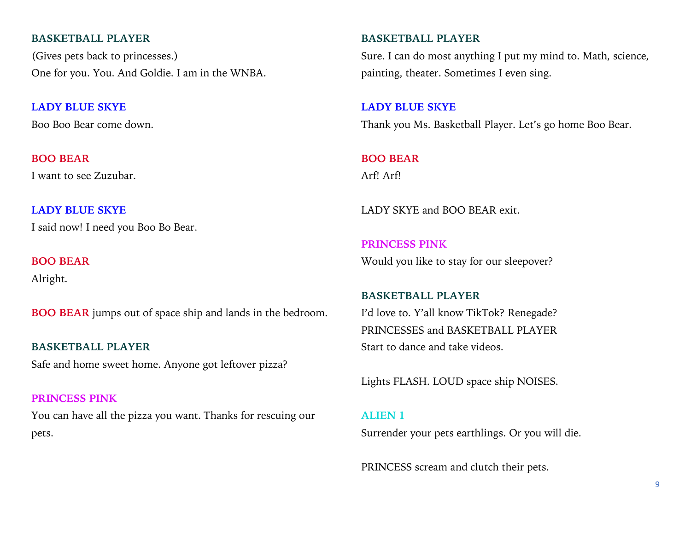#### **BASKETBALL PLAYER**

(Gives pets back to princesses.) One for you. You. And Goldie. I am in the WNBA.

**LADY BLUE SKYE** Boo Boo Bear come down.

**BOO BEAR** I want to see Zuzubar.

**LADY BLUE SKYE** I said now! I need you Boo Bo Bear.

**BOO BEAR**

Alright.

**BOO BEAR** jumps out of space ship and lands in the bedroom.

**BASKETBALL PLAYER** Safe and home sweet home. Anyone got leftover pizza?

**PRINCESS PINK** You can have all the pizza you want. Thanks for rescuing our pets.

## **BASKETBALL PLAYER**

Sure. I can do most anything I put my mind to. Math, science, painting, theater. Sometimes I even sing.

**LADY BLUE SKYE** Thank you Ms. Basketball Player. Let's go home Boo Bear.

**BOO BEAR** Arf! Arf!

LADY SKYE and BOO BEAR exit.

**PRINCESS PINK** Would you like to stay for our sleepover?

**BASKETBALL PLAYER** I'd love to. Y'all know TikTok? Renegade? PRINCESSES and BASKETBALL PLAYER Start to dance and take videos.

Lights FLASH. LOUD space ship NOISES.

## **ALIEN 1**

Surrender your pets earthlings. Or you will die.

PRINCESS scream and clutch their pets.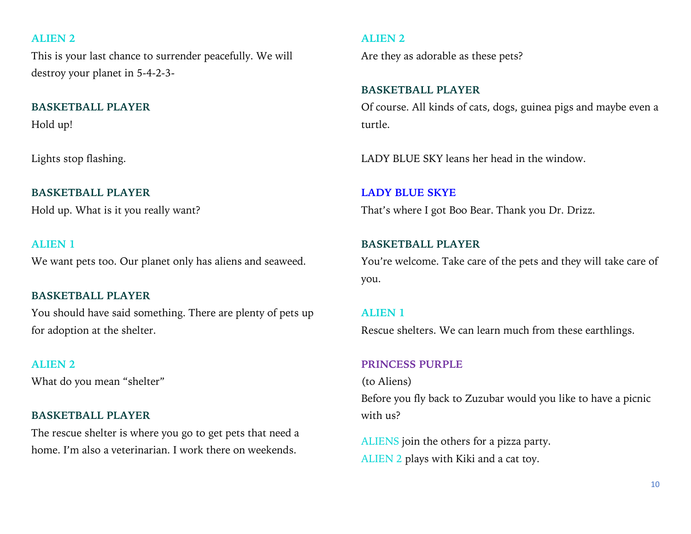## **ALIEN 2**

This is your last chance to surrender peacefully. We will destroy your planet in 5-4-2-3-

# **BASKETBALL PLAYER**

Hold up!

Lights stop flashing.

## **BASKETBALL PLAYER**

Hold up. What is it you really want?

## **ALIEN 1**

We want pets too. Our planet only has aliens and seaweed.

## **BASKETBALL PLAYER**

You should have said something. There are plenty of pets up for adoption at the shelter.

#### **ALIEN 2**

What do you mean "shelter"

#### **BASKETBALL PLAYER**

The rescue shelter is where you go to get pets that need a home. I'm also a veterinarian. I work there on weekends.

#### **ALIEN 2**

Are they as adorable as these pets?

# **BASKETBALL PLAYER**

Of course. All kinds of cats, dogs, guinea pigs and maybe even a turtle.

LADY BLUE SKY leans her head in the window.

**LADY BLUE SKYE** That's where I got Boo Bear. Thank you Dr. Drizz.

## **BASKETBALL PLAYER**

You're welcome. Take care of the pets and they will take care of you.

## **ALIEN 1**

Rescue shelters. We can learn much from these earthlings.

### **PRINCESS PURPLE**

(to Aliens) Before you fly back to Zuzubar would you like to have a picnic with us?

ALIENS join the others for a pizza party. ALIEN 2 plays with Kiki and a cat toy.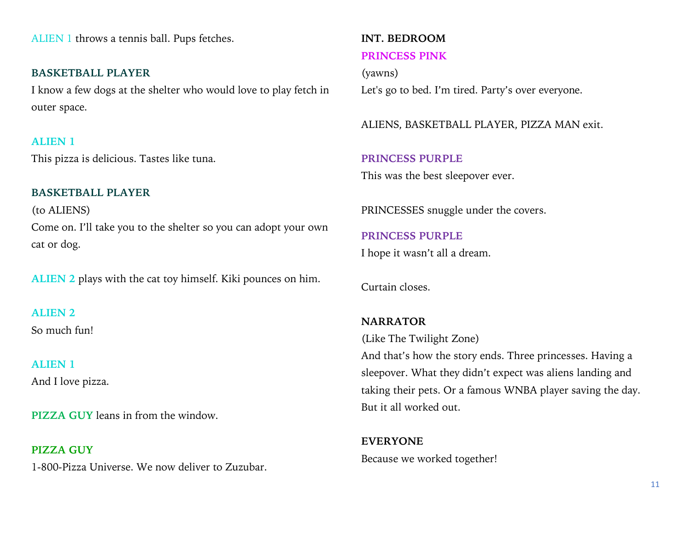ALIEN 1 throws a tennis ball. Pups fetches.

**BASKETBALL PLAYER** I know a few dogs at the shelter who would love to play fetch in outer space.

#### **ALIEN 1**

This pizza is delicious. Tastes like tuna.

## **BASKETBALL PLAYER**

(to ALIENS) Come on. I'll take you to the shelter so you can adopt your own cat or dog.

**ALIEN 2** plays with the cat toy himself. Kiki pounces on him.

**ALIEN 2** So much fun!

**ALIEN 1** And I love pizza.

**PIZZA GUY** leans in from the window.

**PIZZA GUY** 1-800-Pizza Universe. We now deliver to Zuzubar.

# **INT. BEDROOM PRINCESS PINK**

(yawns) Let's go to bed. I'm tired. Party's over everyone.

ALIENS, BASKETBALL PLAYER, PIZZA MAN exit.

**PRINCESS PURPLE** This was the best sleepover ever.

PRINCESSES snuggle under the covers.

**PRINCESS PURPLE** I hope it wasn't all a dream.

Curtain closes.

# **NARRATOR** (Like The Twilight Zone)

And that's how the story ends. Three princesses. Having a sleepover. What they didn't expect was aliens landing and taking their pets. Or a famous WNBA player saving the day. But it all worked out.

**EVERYONE** Because we worked together!